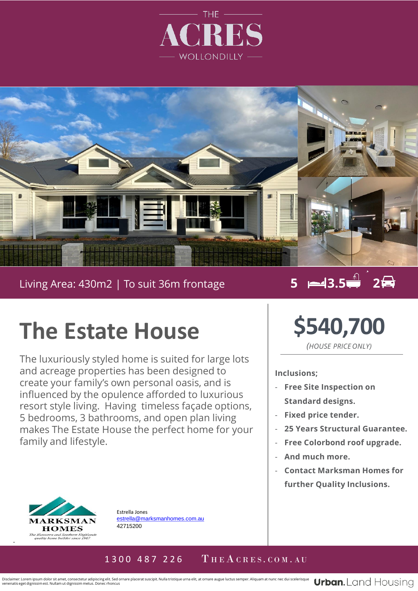



#### Living Area: 430m2 | To suit 36m frontage

### **5 3.5 2**

# **The Estate House**

. resort style living. Having timeless façade options, The luxuriously styled home is suited for large lots and acreage properties has been designed to create your family's own personal oasis, and is influenced by the opulence afforded to luxurious 5 bedrooms, 3 bathrooms, and open plan living makes The Estate House the perfect home for your family and lifestyle.



Estrella Jones [estrella@marksmanhomes.com.au](mailto:estrella@marksmanhomes.com.au) 42715200

# **\$540,700**

*(HOUSE PRICE ONLY)*

#### **Inclusions;**

- **Free Site Inspection on Standard designs.**
- **Fixed price tender.**
- **25 Years Structural Guarantee.**
- **Free Colorbond roof upgrade.**
- **And much more.**
- **Contact Marksman Homes for further Quality Inclusions.**

#### 1300 487 226  $\Gamma$  HEACRES. COM. AU